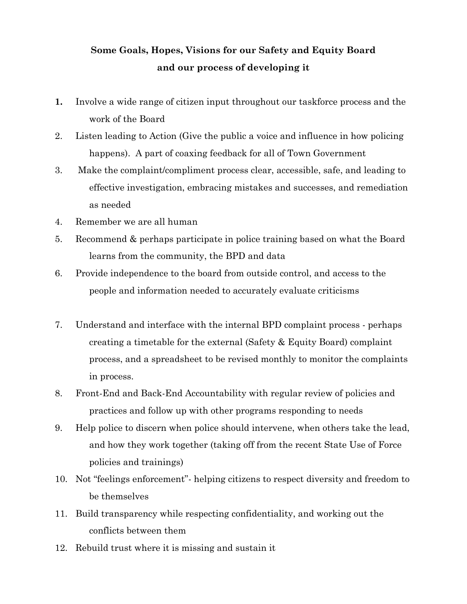## **Some Goals, Hopes, Visions for our Safety and Equity Board and our process of developing it**

- **1.** Involve a wide range of citizen input throughout our taskforce process and the work of the Board
- 2. Listen leading to Action (Give the public a voice and influence in how policing happens). A part of coaxing feedback for all of Town Government
- 3. Make the complaint/compliment process clear, accessible, safe, and leading to effective investigation, embracing mistakes and successes, and remediation as needed
- 4. Remember we are all human
- 5. Recommend & perhaps participate in police training based on what the Board learns from the community, the BPD and data
- 6. Provide independence to the board from outside control, and access to the people and information needed to accurately evaluate criticisms
- 7. Understand and interface with the internal BPD complaint process perhaps creating a timetable for the external (Safety & Equity Board) complaint process, and a spreadsheet to be revised monthly to monitor the complaints in process.
- 8. Front-End and Back-End Accountability with regular review of policies and practices and follow up with other programs responding to needs
- 9. Help police to discern when police should intervene, when others take the lead, and how they work together (taking off from the recent State Use of Force policies and trainings)
- 10. Not "feelings enforcement"- helping citizens to respect diversity and freedom to be themselves
- 11. Build transparency while respecting confidentiality, and working out the conflicts between them
- 12. Rebuild trust where it is missing and sustain it